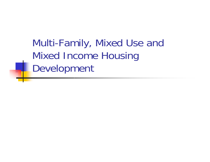Multi-Family, Mixed Use and Mixed Income Housing Development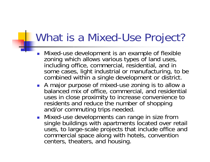### What is a Mixed-Use Project?

- $\overline{\phantom{a}}$  Mixed-use development is an example of flexible zoning which allows various types of land uses, including office, commercial, residential, and in some cases, light industrial or manufacturing, to be combined within a single development or district.
- A major purpose of mixed-use zoning is to allow a balanced mix of office, commercial, and residential uses in close proximity to increase convenience to residents and reduce the number of shopping<br>and/or commuting trips needed.
- **Nixed-use developments can range in size from** single buildings with apartments located over retail uses, to large-scale projects that include office and commercial space along with hotels, convention centers, theaters, and housing.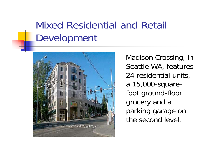#### Mixed Residential and Retail Development



Madison Crossing, in Seattle WA, features 24 residential units, a 15,000-squarefoot ground-floor grocery and a parking garage on the second level.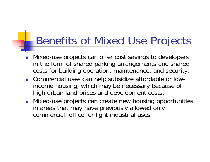# Benefits of Mixed Use Projects

- **Nixed-use projects can offer cost savings to developers** in the form of shared parking arrangements and shared costs for building operation, maintenance, and security.
- Commercial uses can help subsidize affordable or lowincome housing, which may be necessary because of high urban land prices and development costs.
- **Nixed-use projects can create new housing opportunities** in areas that may have previously allowed only commercial, office, or light industrial uses.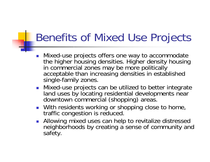## Benefits of Mixed Use Projects

- **Nixed-use projects offers one way to accommodate** the higher housing densities. Higher density housing in commercial zones may be more politically acceptable than increasing densities in established single-family zones.
- **Nixed-use projects can be utilized to better integrate** land uses by locating residential developments near downtown commercial (shopping) areas.
- **Nith residents working or shopping close to home,** traffic congestion is reduced.
- **Allowing mixed uses can help to revitalize distressed** neighborhoods by creating a sense of community and safety.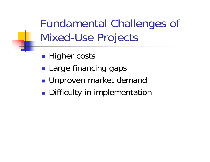Fundamental Challenges of Mixed-Use Projects

- **Higher costs**
- **Service Service Large financing gaps**
- **Unproven market demand**
- **Difficulty in implementation**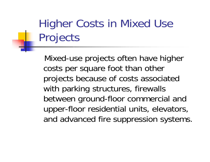# Higher Costs in Mixed Use Projects

Mixed-use projects often have higher costs per square foot than other projects because of costs associated with parking structures, firewalls between ground-floor commercial and upper-floor residential units, elevators, and advanced fire suppression systems.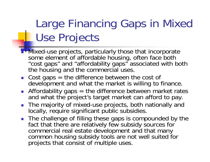# Large Financing Gaps in Mixed Use Projects

- **H** Mixed-use projects, particularly those that incorporate some element of affordable housing, often face both "cost gaps" and "affordability gaps" associated with both the housing and the commercial uses.
- Cost gaps = the difference between the cost of development and what the market is willing to finance.
- **Affordability gaps = the difference between market rates** and what the project's target market can afford to pay.
- The majority of mixed-use projects, both nationally and locally, require significant public subsidies.
- The challenge of filling these gaps is compounded by the fact that there are relatively few subsidy sources for commercial real estate development and that many common housing subsidy tools are not well suited for projects that consist of multiple uses.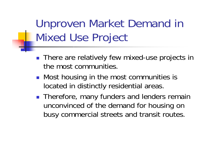Unproven Market Demand in Mixed Use Project

- There are relatively few mixed-use projects in the most communities.
- **Nost housing in the most communities is** located in distinctly residential areas.
- **Therefore, many funders and lenders remain** unconvinced of the demand for housing on busy commercial streets and transit routes.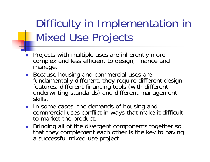# Difficulty in Implementation in Mixed Use Projects

- $\overline{\phantom{a}}$  Projects with multiple uses are inherently more complex and less efficient to design, finance and manage.
- Because housing and commercial uses are fundamentally different, they require different design features, different financing tools (with different underwriting standards) and different management skills.
- **IF In some cases, the demands of housing and** commercial uses conflict in ways that make it difficult to market the product.
- **Bringing all of the divergent components together so** that they complement each other is the key to having a successful mixed-use project.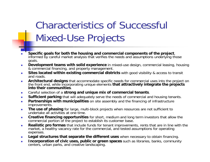Characteristics of Successful Mixed-Use Projects

- Г **Specific goals for both the housing and commercial components of the project**, informed by careful market analysis that verifies the needs and assumptions underlying those goals.
- п **Development teams with solid experience** in mixed-use design, commercial leasing, housing & commercial financing, and property management.
- $\blacksquare$ **Sites located within existing commercial districts** with good visibility & access to transit and roads.
- $\overline{\phantom{a}}$  **Architectural designs** that accommodate specific needs for commercial uses into the project on the front end, while incorporating unique elements **that attractively integrate the projects into their communities**.
- $\blacksquare$ Careful selection of a **strong and unique mix of commercial tenants**.
- $\mathbf{r}$ **Sufficient parking** that will adequately serve the needs of commercial and housing tenants.
- $\blacksquare$  **Partnerships with municipalities** on site assembly and the financing of infrastructure improvements.
- $\overline{\phantom{a}}$  **The use of phasing** for large, multi-block projects when resources are not sufficient to undertake all activities at one time.
- m. **Creative financing opportunities** for short, medium and long term investors that allow the commercial portion of the project to establish its customer base.
- $\overline{\phantom{a}}$  **Realistic pro formas** that include funds for tenant improvements, rents that are in line with the market, a healthy vacancy rate for the commercial, and tested assumptions for operating expenses.
- $\mathbf{r}$ **Legal structures that separate the different uses** when necessary to obtain financing.
- Ē. **Incorporation of civic uses, public or green spaces** such as libraries, banks, community centers, urban parks, and creative landscaping.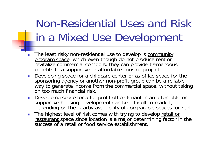# Non-Residential Uses and Risk in a Mixed Use Development

- L. The least risky non-residential use to develop is community p<u>rogram space,</u> which even though do not produce rent or revitalize commercial corridors, they can provide tremendous benefits to a supportive or affordable housing project.
- **Developing space for a childcare center or as office space for the** sponsoring agency or another non-profit group can be a reliable way to generate income from the commercial space, without taking on too much financial risk.
- Developing space for a <u>for-profit office</u> tenant in an affordable or supportive housing development can be difficult to market, depending on the nearby availability of comparable spaces for rent.
- The highest level of risk comes with trying to develop retail or restaurant space since location is a major determining factor in the success of a retail or food service establishment.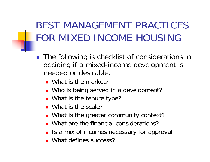### BEST MANAGEMENT PRACTICES FOR MIXED INCOME HOUSING

- The following is checklist of considerations in deciding if a mixed-income development is needed or desirable.
	- **NHATE 19 MBLARE 12 MBLARE 12 MBLARE 12 MBLARE 12 MBLARE 12 MBLARE 12 MBLARE 12 MBL**
	- Who is being served in a development?
	- **Nhat is the tenure type?**
	- What is the scale?
	- What is the greater community context?
	- What are the financial considerations?
	- **I** Is a mix of incomes necessary for approval
	- What defines success?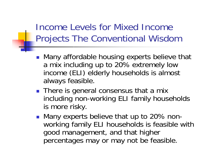Income Levels for Mixed Income Projects The Conventional Wisdom

- $\mathcal{L}^{\text{max}}_{\text{max}}$  Many affordable housing experts believe that a mix including up to 20% extremely low income (ELI) elderly households is almost always feasible.
- There is general consensus that a mix including non-working ELI family households is more risky.
- Many experts believe that up to 20% nonworking family ELI households is feasible with good management, and that higher percentages may or may not be feasible.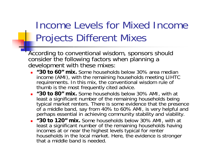#### Income Levels for Mixed Income Projects Different Mixes

According to conventional wisdom, sponsors should consider the following factors when planning a development with these mixes:

- **"30 to 60" mix.** Some households below 30% area median income (AMI), with the remaining households meeting LIHTC requirements. In this mix, the conventional wisdom rule of thumb is the most frequently cited advice.
- **"30 to 80" mix.** Some households below 30% AMI, with at least a significant number of the remaining households being typical market renters. There is some evidence that the presence of a middle band, say from 40% to 60% AMI, is very helpful and perhaps essential in achieving community stability and viability.
- **"30 to 120" mix.** Some households below 30% AMI, with at least a significant number of the remaining households having incomes at or near the highest levels typical for renter households in the local market. Here, the evidence is stronger that a middle band is needed.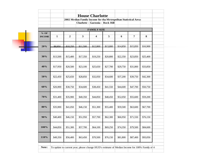|                       |                    |                  | 2002 Median Family Income for tha Metropolitan Statistical Area:<br>Charlotte - Gastonia - Rock Hill |          |          |          |                |          |  |  |  |
|-----------------------|--------------------|------------------|------------------------------------------------------------------------------------------------------|----------|----------|----------|----------------|----------|--|--|--|
|                       | <b>FAMILY SIZE</b> |                  |                                                                                                      |          |          |          |                |          |  |  |  |
| % OF<br><b>INCOME</b> | $\mathbf{1}$       | $\boldsymbol{2}$ | $\mathbf{3}$                                                                                         | 4        | 5        | 6        | $\overline{7}$ | 8        |  |  |  |
| 20%                   | \$8.950            | \$10,250         | \$11,500                                                                                             | \$12,800 | \$13,800 | \$14,850 | \$15,850       | \$16,900 |  |  |  |
| 30%                   | \$13,500           | \$15,400         | \$17,350                                                                                             | \$19,250 | \$20,800 | \$22,350 | \$23,850       | \$25,400 |  |  |  |
| 40%                   | \$17,950           | \$20,500         | \$23,100                                                                                             | \$25,650 | \$27,700 | \$29,750 | \$31,800       | \$33,850 |  |  |  |
| 50%                   | \$22,450           | \$25,650         | \$28,850                                                                                             | \$32,050 | \$34,600 | \$37,200 | \$39,750       | \$42,300 |  |  |  |
| 60%                   | \$26,900           | \$30,750         | \$34,600                                                                                             | \$38,450 | \$41,550 | \$44,600 | \$47,700       | \$50,750 |  |  |  |
| 70%                   | \$31,400           | \$35,900         | \$40,350                                                                                             | \$44,850 | \$48,450 | \$52,050 | \$55,600       | \$59,200 |  |  |  |
| 80%                   | \$35,900           | \$41,050         | \$46,150                                                                                             | \$51,300 | \$55,400 | \$59,500 | \$63,600       | \$67,700 |  |  |  |
| 90%                   | \$40,400           | \$46,150         | \$51,950                                                                                             | \$57,700 | \$62,300 | \$66,950 | \$71,550       | \$76,150 |  |  |  |
| 100%                  | \$44,850           | \$51,300         | \$57,700                                                                                             | \$64,100 | \$69,250 | \$74,350 | \$79,500       | \$84,600 |  |  |  |
| 110%                  | \$49,350           | \$56,400         | \$63,450                                                                                             | \$70,500 | \$76,150 | \$81,800 | \$87,400       | \$93,050 |  |  |  |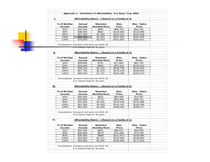|              |               |                                | Appendix 1 - Definition of Affordability For Base Year 2002 |              |                   |
|--------------|---------------|--------------------------------|-------------------------------------------------------------|--------------|-------------------|
| $\mathbf{1}$ |               |                                | Affordability Matrix - (Based on a Family of 4)             |              |                   |
|              | % of Median   | Annual                         | <b>Maximun</b>                                              | Max.         | Max. Sales        |
|              | Income        | Income                         | <b>Monthly Rent</b>                                         | <b>Price</b> | <b>Price</b>      |
|              | 50%           | \$32,050                       | \$801                                                       | \$88,755     | \$93,192          |
|              | 60%           | \$38,450                       | \$961                                                       | \$110,560    | \$116,088         |
|              | 80%           | \$51,300                       | $\overline{1,283}$                                          | \$154,341    | \$162,058         |
|              | 100%          | \$64,100                       | \$1,603                                                     | \$197,952    | \$207,849         |
|              | 120%          | \$76,900                       | \$1,923                                                     | \$241,562    | \$253,641         |
|              |               |                                |                                                             |              |                   |
|              |               |                                | Assumptions: Insurance and taxes are \$150,.00              |              |                   |
|              |               | 8 % interest Rate for 30 years |                                                             |              |                   |
| н.           |               |                                | Affordability Matrix - (Based on a Family of 3)             |              |                   |
|              | % of Median   | Annual                         | <b>Maximun</b>                                              | Max.         | <b>Max. Sales</b> |
|              | Income        | Income                         | <b>Monthly Rent</b>                                         | <b>Price</b> | <b>Price</b>      |
|              | 50%           | \$28,850                       | \$721                                                       | \$77,852     | \$81,745          |
|              | 60%           | \$34,600                       | \$865                                                       | \$97,443     | \$102,315         |
|              | 80%           | \$46,150                       | \$1,154                                                     | \$136,795    | \$143,634         |
|              | 100%          | \$57,700                       | $\overline{\$1,443}$                                        | \$176,146    | \$184,954         |
|              | 120%          | \$69,250                       | \$1,731                                                     | \$215,498    | \$226,273         |
|              |               |                                | Assumptions: Insurance and taxes are \$150,.00              |              |                   |
|              |               | 8 % interest Rate for 30 years |                                                             |              |                   |
| Ш.           |               |                                | Affordability Matrix - (Based on a Family of 2)             |              |                   |
|              | % of Median   | Annual                         | <b>Maximun</b>                                              | Max.         | Max. Sales        |
|              | Income        | Income                         | <b>Monthly Rent</b>                                         | <b>Price</b> | <b>Price</b>      |
|              | 50%           | \$25,650                       | \$641                                                       | \$66,949     | \$70,297          |
|              | 60%           | \$30,800                       | \$770                                                       | \$84,496     | \$88,721          |
|              | 80%           | \$41,050                       | \$1,026                                                     | \$119,418    | \$125,389         |
|              | 100%          | \$51,300                       | \$1,283                                                     | \$154,341    | \$162,058         |
|              | 120%          | \$61,550                       | \$1,539                                                     | \$189,264    | \$198,727         |
|              |               |                                |                                                             |              |                   |
|              |               | 8 % interest Rate for 30 years | Assumptions: Insurance and taxes are \$150,.00              |              |                   |
|              |               |                                |                                                             |              |                   |
| IV.          |               |                                | Affordability Matrix - (Based on a Family of 1)             |              |                   |
|              | % of Median   | Annual                         | <b>Maximun</b>                                              | Max.         | Max. Sales        |
|              | <b>Income</b> | Income                         | <b>Monthly Rent</b>                                         | <b>Price</b> | <b>Price</b>      |
|              | 50%           | \$22,450                       | \$561                                                       | \$56,047     | \$58,849          |
|              | 60%           | \$26,900                       | $\frac{1}{6673}$                                            | \$71,208     | \$74,769          |
|              | 80%           | \$35,900                       | \$898                                                       | \$101,872    | \$106,966         |
|              | 100%          | \$44,850                       | \$1,121                                                     | \$132,365    | \$138,984         |
|              | 120%          | \$53,800                       | $\overline{$}1,345$                                         | \$162,859    | \$171,002         |
|              |               |                                |                                                             |              |                   |
|              |               |                                |                                                             |              |                   |
|              |               | 8 % interest Rate for 30 years | Assumptions: Insurance and taxes are \$150,.00              |              |                   |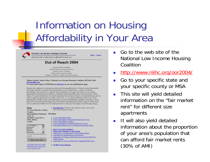### Information on Housing Affordability in Your Area

Hame / Search



Dedicated solids to ending America's affordable housing artists.

National Low Income Housing Coalition

#### Out of Reach 2004

Himmy Pitcell, Convelient Davids Palletura, Research Director Mosta Crowley, President Mark Freshow Research Anglyst Cashing N. Dolbanes, Founder and Chair Emerities

Media Contact: Katie Fisher, National Low Income Housing Coalition, 202-662-1530. katie's what are.

To order hard copies of OOR please click here to see our publications page.

Despite the emphasis on homeownership and the marginalization of renters, renter boundarids will make up fully one-third of the households in the United States - nearly 36 million households. Out of Reach is a side-by-side comparison of wages and rents in every county, Metropolitan Statistical Area (MSA), combined nonmetropolitan area and state in the United States. For each jurisdiction, the report calculates the amount of money a household must carn in order to afford a rental unit of a range of sizes (0, 1, 2, 3, and 4 bedrooms) at the area's Fair Market Rent (FMR), based on the generally accepted affordability standard of paying no more than 30% of income for housing costs. From these calculations the hourly wage a worker must earn to afford the FMR for a two bedroom home is derived. This figure is the Housing Wage.

#### Data

describes national trends.)

- To View Data for a State, County, Metropolitan Statistical Rankings Area, or nonmetro areas for a state, choose a state:
- $-$  All filteries Atabama Abaska Airpona Arkansas Towards what move than one idate by fedding down the Control Arc Click to View Data

Calculate your personal hinolog wage, baned on **JUNE CREDIT FOR** 

· Introduction (bichaks the analysis of the report and

- Least Affordable States
- · Lead Affordable Memorelitan Statistical Areas
- Lont Affordable Counties
- · Least Affirdable Combined Nonmetro Areas
- · State Ranks Based on Two Bedroom Housing Wage
- . How to Use the Nambers'
- Where the Numbers Came From
- · Appendix A: Explanation of Fair Market Rents
- Appendix B; Methodology and Sources
- Appendix C: Change and Community for the 2005 Fair Market Renta
- Appendix D: Lowm within New England FMR Areas
- NLIHC Press Release
- Go to the web site of the National Low Income Housing Coalition
- F. <http://www.nlihc.org/oor2004/>
- F. Go to your specific state and your specific county or MSA
- $\overline{\phantom{a}}$  This site will yield detailed information on the "fair market rent" for different size apartments
- $\mathbb{R}^2$  It will also yield detailed information about the proportion of your area's population that can afford fair market rents (30% of AMI)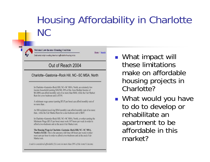#### Housing Affordability in Charlotte NC

Home / Search

**National Low Income Housing Coalition** 

Dedicated soldy to ending America's afordable housing arisis.

#### Out of Reach 2004

Charlotte--Gastonia--Rock Hill, NC--SC MSA, North

In Charlotte-Gastonia--Rock Hill, NC--SC MSA, North, an extremely low income household (carning \$18,540, 30% of the Area Median Income of \$61,800) can afford monthly rent of no more than \$464, while the Fair Market Rent for a two bedroom unit is \$719.

A minimum wage earner (earning \$5.15 per hour) can afford monthly rent of no more than.

An SSI recipient (receiving \$564 monthly) can afford monthly rent of no more than, while the Fair Market Rent for a one-bedroom unit is \$647.

In Charlotte-Gastonia--Rock Hill, NC-SC MSA, North, a worker earning the Minimum Wage (\$5.15 per hour) must work 107 hours per week in order to afford a two-bedroom unit at the area's Fair Market rent.

The Housing Wage in Charlotte--Gastonia--Rock Hill, NC-SC MSA, North is \$13.83. This is the amount a full time (40 hours per week) worker must earn per hour in order to afford a two-bedroom unit at the area's Fair Market rent.

A unit is considered affordable if it costs no more than 30% of the renter's income.

- What impact will these limitations make on affordable housing projects in Charlotte?
- $\mathbb{R}^2$ What would you have to do to develop or rehabilitate an apartment to be affordable in this market?